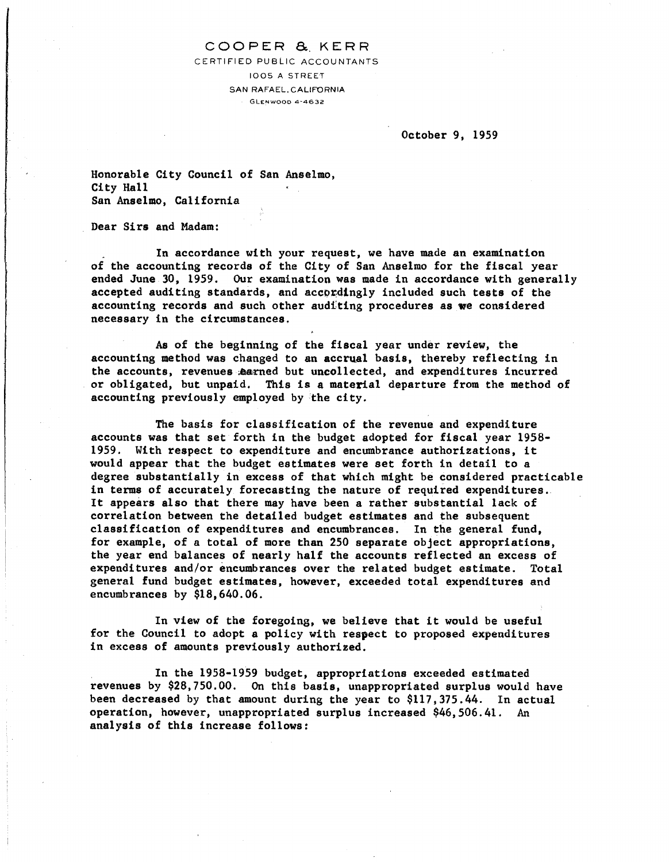### COOPER & KERR

CERTIFIED PUBLIC ACCOUNTANTS

1005 A STREET

SAN RAFAEL. CALIFORNIA GLENWOOD 4-4632

#### October 9, 1959

Honorable City Council of San Anselmo, City Hall San Anselmo, California

Dear Sirs and Madam:

In accordance with your request, we have made an examination of the accounting records of the City of San Anselmo for the fiscal year ended June 30, 1959. Our examination was made in accordance with generally accepted auditing standards, and accordingly included such tests of the accounting records and such other audfting procedures as we considered necessary in the circumstances.

As of the beginning of the fiscal year under review, the accounting method was changed to an accrual basis, thereby reflecting in the accounts, revenues aarned but uncollected, and expenditures incurred or obligated, but unpaid. This is a material departure from the method of accounting previously employed by the city.

The basis for classification of the revenue and expenditure accounts was that set forth in the budget adopted for fiscal year 1958- 1959. With respect to expenditure and encumbrance authorizations, it would appear that the budget estimates were set forth in detail to a degree substantially in excess of that which might be considered practicable in terms of accurately forecasting the nature of required expenditures. It appears also that there may have been a rather substantial lack of correlation between the detailed budget estimates and the subsequent classification of expenditures and encumbrances. In the general fund, for example, of a total of more than 250 separate object appropriations, the year end balances of nearly half the accounts reflected an excess of expenditures and/or encumbrances over the related budget estimate. Total general fund budget estimates, however, exceeded total expenditures and encumbrances by \$18,640.06.

In view of the foregoing, we believe that it would be useful for the Council to adopt a policy with respect to proposed expenditures in excess of amounts previously authorized.

In the 1958-1959 budget, appropriations exceeded estimated revenues by \$28,750.00. On this basis, unappropriated surplus would have been decreased by that amount during the year to \$117,375.44. In actual operation, however, unappropriated surplus increased \$46,506.41. An analysis of this increase follows: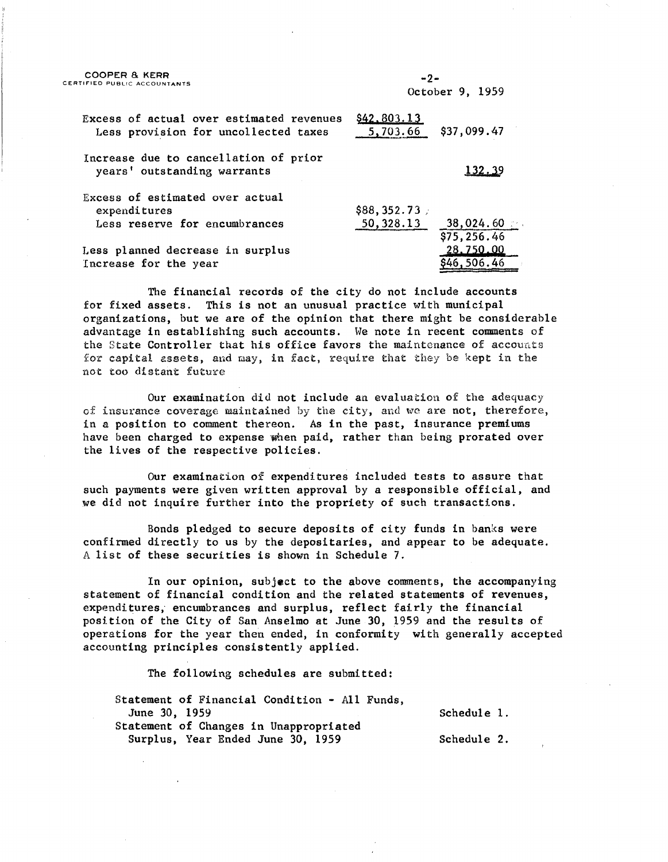| COOPER & KERR<br>CERTIFIED PUBLIC ACCOUNTANTS                                    | $-2-$<br>October 9, 1959       |                                         |  |
|----------------------------------------------------------------------------------|--------------------------------|-----------------------------------------|--|
| Excess of actual over estimated revenues<br>Less provision for uncollected taxes | <u>\$42,803.13</u><br>5,703.66 | \$37,099.47                             |  |
| Increase due to cancellation of prior<br>years' outstanding warrants             |                                | 132,39                                  |  |
| Excess of estimated over actual<br>expenditures<br>Less reserve for encumbrances | \$88, 352.73<br>50,328.13      | $-38,024.60$ :                          |  |
| Less planned decrease in surplus<br>Increase for the year                        |                                | \$75,256.46<br>28.750.00<br>\$46,506.46 |  |

The financial records of the city do not include accounts for fixed assets. This is not an unusual practice with municipal organizations, but we are of the opinion that there might be considerable advantage in establishing such accounts. We note in recent comments of the State Controller that his office favors the maintenance of accounts for capital assets, and may, in fact, require that they be kept in the not too distant future

Our examination did not include an evaluation of the adequacy of insurance coverage maintained by the city, and we are not, therefore, in a position to comment thereon. As in the past, insurance premiums have been charged to expense when paid, rather than being prorated over the lives of the respective policies.

Our examination of expenditures included tests to assure that such payments were given written approval by a responsible official, and we did not inquire further into the propriety of such transactions.

Bonds pledged to secure deposits of city funds in banks were confirmed directly to us by the depositaries, and appear to be adequate. A list of these securities is shown in Schedule 7.

In our opinion, subject to the above comments, the accompanying statement of financial condition and the related statements of revenues, expenditures, encumbrances and surplus, reflect fairly the financial position of the City of San Anselmo at June 30, 1959 and the results of operations for the year then ended, in conformity with generally accepted accounting principles consistently applied.

The following schedules are submitted:

Statement of Financial Condition - All Funds, June 30, 1959 Statement of Changes in Unappropriated Surplus, Year Ended June 30, 1959 Schedule 1. Schedule 2.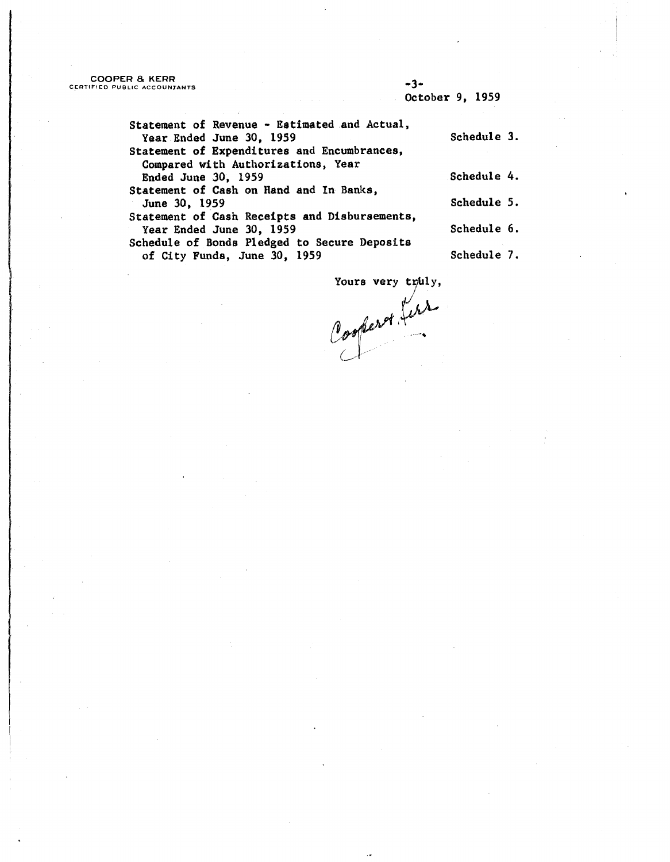COOPER & KERR<br>CERTIFIED PUBLIC ACCOUNTANTS -3-

Statement of Revenue - Estimated and Actual, Year Ended June 30, 1959 Statement of Expenditures and Encumbrances, Compared with Authorizations, Year Ended June 30, 1959 Statement of Cash on Hand and In Banks, June 30, 1959 Statement of Cash Receipts and Disbursements, Year Ended June 30, 1959 Schedule of Bonds Pledged to Secure Deposits of City Funds, June 30, 1959 Schedule 3. Schedule 4. Schedule 5. Schedule 6. Schedule 7.

Yours very truly,

Coopert Lerry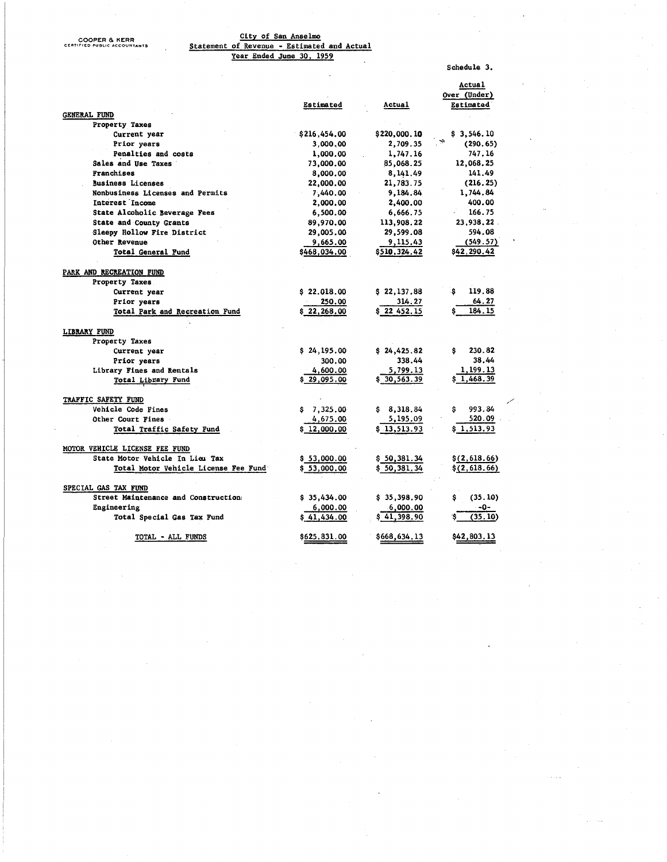COOPER & KERR<br>CERTIFIED PUBLIC ACCOUNTANTS

# Statement of Revenue - Estimated and Actual<br>
Year Ended June 30, 1959  $\ddot{\phantom{0}}$

 $\ddot{\phantom{0}}$ 

Schedule 3.

|                                      |              |              | Actual<br><b>Over (Under)</b> |
|--------------------------------------|--------------|--------------|-------------------------------|
|                                      | Estimated    | Actual       | Estimated                     |
| <b>GENERAL FUND</b>                  |              |              |                               |
| Property Taxes                       |              |              |                               |
| Current year                         | \$216,454.00 | \$220,000.10 | \$3,546.10                    |
| Prior years                          | 3,000,00     | 2,709.35     | (290.65)                      |
| Penalties and costs                  | 1,000.00     | 1,747.16     | 747.16                        |
| Sales and Use Taxes                  | 73,000.00    | 85,068.25    | 12,068.25                     |
| Franchises                           | 8,000.00     | 8, 141.49    | 141.49                        |
| <b>Business Licenses</b>             | 22,000.00    | 21,783.75    | (216.25)                      |
| Nonbusiness Licenses and Permits     | 7,440.00     | 9,184,84     | 1,744.84                      |
| Interest Income                      | 2,000.00     | 2,400.00     | 400.00                        |
| State Alcoholic Beverage Fees        | 6,500.00     | 6,666.75     | 166.75                        |
| State and County Grants              | 89,970.00    | 113,908.22   | 23.938.22                     |
| Sleepy Hollow Fire District          | 29,005.00    | 29,599.08    | 594.08                        |
| Other Revenue                        | 9,665.00     | 9,115,43     | (549.57)                      |
| Total General Fund                   | \$468,034.00 | \$510,324.42 | \$42,290.42                   |
| PARK AND RECREATION FUND             |              |              |                               |
| Property Taxes                       |              |              |                               |
| Current year                         | \$22.018.00  | \$22,137.88  | 119.88<br>\$                  |
| Prior years                          | 250.00       | 314.27       | 64.27                         |
| Total Park and Recreation Fund       | \$22,268.00  | \$22 452.15  | 184.15                        |
| LIBRARY FUND                         |              |              |                               |
| Property Taxes                       |              |              |                               |
| Current year                         | \$24,195.00  | \$24,425.82  | 230.82<br>ŝ                   |
| Prior years                          | 300.00       | 338.44       | 38.44                         |
| Library Fines and Rentals            | 4,600.00     | 5,799.13     | 1,199.13                      |
| Total Library Fund                   | \$29,095.00  | \$30,563.39  | \$1,468.39                    |
| TRAFFIC SAFETY FUND                  |              |              |                               |
| Vehicle Code Fines                   | \$7,325.00   | \$3,318.84   | 993.84<br>\$                  |
| Other Court Fines                    | 4,675.00     | 5,195.09     | 520.09                        |
| Total Traffic Safety Fund            | \$12,000.00  | \$13,513.93  | \$1,513.93                    |
| MOTOR VEHICLE LICENSE FEE FUND       |              |              |                               |
| State Motor Vehicle In Lieu Tax      | \$53,000.00  | \$50,381.34  | \$(2,618.66)                  |
| Total Motor Vehicle License Fee Fund | \$53,000.00  | \$50,381,34  | \$(2,618.66)                  |
| SPECIAL GAS TAX FUND                 |              |              |                               |
| Street Maintenance and Construction: | \$35,434.00  | \$35,398.90  | (35.10)<br>\$                 |
| Engineering                          | 6,000.00     | 6,000.00     | -0-                           |
| Total Special Gas Tax Fund           | \$41,434.00  | \$41,398.90  | (35.10)                       |
| TOTAL - ALL FUNDS                    | \$625,831.00 | \$668,634.13 | \$42,803.13                   |
|                                      |              |              |                               |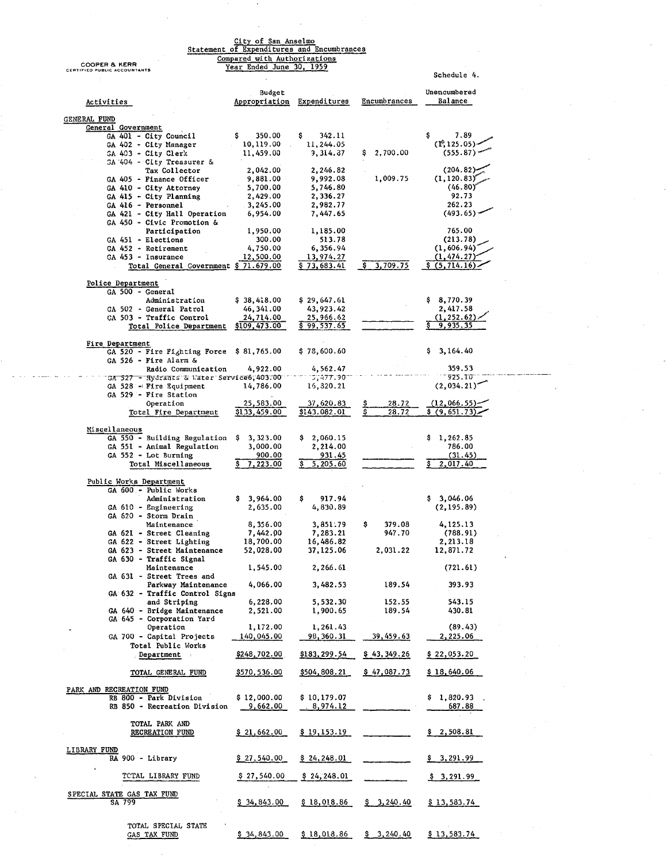# City of San Anselmo<br>Statement of Expenditures and Encumbrances<br>Compared with Authorizations<br>Year Ended June 30, 1959

 $\sim$ 

 $\ddot{\phantom{a}}$ 

COOPER & KERR<br>CERTIFIED PUBLIC ACCOUNTANTS

Schedule 4.

| Activities                                       | Budget<br>Appropriation | Expenditures         | Encumbrances                                   | Unencumbered<br>Balance |
|--------------------------------------------------|-------------------------|----------------------|------------------------------------------------|-------------------------|
| GENERAL FUND                                     |                         |                      |                                                |                         |
| General Government                               |                         |                      |                                                |                         |
| GA 401 - City Council                            | 350.00<br>s             | 342.11<br>s          |                                                | \$<br>7.89              |
| GA 402 - City Manager                            | 10,119.00               | 11,244.05            |                                                | $(T_1^s 125.05)$        |
| GA 403 - City Clerk                              | 11,459.00               | 9,314.37             | 2,700.00                                       | (555.87)                |
| GA 404 - City Treasurer &                        |                         |                      |                                                |                         |
| Tax Collector                                    | 2,042.00                | 2,246.82             |                                                | (204.82)                |
| GA 405 - Finance Officer                         | 9,881.00                | 9,992.08             | 1,009.75                                       | (1, 120.83)<br>(46.80)  |
| GA 410 - City Attorney<br>GA 415 - City Planning | 5,700.00<br>2,429.00    | 5,746.80<br>2,336.27 |                                                | 92.73                   |
| GA 416 - Personnel                               | 3,245.00                | 2.982.77             |                                                | 262.23                  |
| GA 421 - City Hall Operation                     | 6,954.00                | 7,447.65             |                                                | (493.65)                |
| GA 450 - Civic Promotion &                       |                         |                      |                                                |                         |
| Participation                                    | 1,950.00                | 1,185.00             |                                                | 765.00                  |
| GA 451 - Elections                               | 300.00                  | 513.78               |                                                | (213.78)                |
| GA 452 - Retirement                              | 4,750.00                | 6,356.94             |                                                | (1, 606.94)             |
| GA 453 - Insurance                               | 12,500.00               | 13,974.27            |                                                | (1, 474.27)             |
| Total General Government \$ 71.679.00            |                         | 73, 683.41           | 3,709.75<br>s                                  | (5, 714.16)             |
|                                                  |                         |                      |                                                |                         |
| Police Department<br>GA 500 - General            |                         |                      |                                                |                         |
| Administration                                   | \$38,418.00             | \$29,647.61          |                                                | \$ 8,770.39             |
| GA 502 - General Patrol                          | 46, 341.00              | 43,923.42            |                                                | 2,417.58                |
| CA 503 - Traffic Control                         | 24,714.00               | 25,966.62            |                                                | (1, 252.62)             |
| Total Police Department                          | \$109,473.00            | \$99,537.65          |                                                | 9,935.35                |
|                                                  |                         |                      |                                                |                         |
| Fire Department                                  |                         |                      |                                                |                         |
| GA 520 - Fire Fighting Force                     | \$81,765.00             | \$78,600.60          |                                                | \$3,164.40              |
| GA 526 - Fire Alarm &<br>Radio Communication     | 4,922.00                | 4,562.47             |                                                | 359.53                  |
| 3A 527 - Hydrants & Water Service6,403.00        |                         | 5,477.90             |                                                | 925.IO                  |
| GA 528 - Fire Equipment                          | 14,786.00               | 16,320.21            |                                                | (2, 034.21)             |
| GA 529 - Fire Station                            |                         |                      |                                                |                         |
| Operation                                        | 25,583.00               | 37,620.83            | \$<br>28.72                                    | (12,066,55)             |
| Total Fire Department                            | \$133,459.00            | \$143.082.01         | Ş<br>28.72                                     | \$ (9,651.73)           |
|                                                  |                         |                      |                                                |                         |
| Miscellaneous                                    |                         |                      |                                                |                         |
| GA 550 - Building Regulation                     | 3, 323.00<br>Ş          | 2,060.15<br>Ş        |                                                | 1,262.85<br>ş           |
| GA 551 - Animal Regulation                       | 3,000.00                | 2,214.00             |                                                | 786.00                  |
| GA 552 - Lot Burning                             | 900.00                  | 931.45               |                                                | (31.45)                 |
| <b>Total Miscellaneous</b>                       | \$<br>7,223.00          | 5,205.60             |                                                | \$<br>2,017.40          |
| Public Works Department                          |                         |                      |                                                |                         |
| GA 600 - Public Works                            |                         |                      |                                                |                         |
| Administration                                   | \$<br>3,964.00          | 917.94<br>\$         |                                                | 3,046.06<br>\$.         |
| GA 610 - Engineering                             | 2,635.00                | 4,830.89             |                                                | (2, 195.89)             |
| GA 620 - Storm Drain                             |                         |                      |                                                |                         |
| Maintenance                                      | 8,356.00                | 3,851.79             | Ş<br>379.08                                    | 4,125.13                |
| GA 621 - Street Cleaning                         | 7,442.00                | 7,283.21             | 947.70                                         | (788.91)                |
| GA 622 - Street Lighting                         | 18,700.00               | 16,486.82            |                                                | 2,213.18                |
| GA 623 - Street Maintenance                      | 52,028.00               | 37,125.06            | 2,031.22                                       | 12,871.72               |
| GA 630 - Traffic Signal<br>Maintenance           |                         |                      |                                                |                         |
| GA 631 - Street Trees and                        | 1,545.00                | 2,266.61             |                                                | (721.61)                |
| Parkway Maintenance                              | 4,066.00                | 3,482.53             | 189.54                                         | 393.93                  |
| GA 632 - Traffic Control Signs                   |                         |                      |                                                |                         |
| and Striping                                     | 6,228.00                | 5,532.30             | 152.55                                         | 543.15                  |
| GA 640 - Bridge Maintenance                      | 2,521.00                | 1,900.65             | 189.54                                         | 430.81                  |
| GA 645 - Corporation Yard                        |                         |                      |                                                |                         |
| Operation                                        | 1,172.00                | 1,261.43             |                                                | (89.43)                 |
| GA 700 - Capital Projects                        | 140,045.00              | 98, 360.31           | 39, 459.63                                     | 2,225.06                |
| Total Public Works                               |                         |                      |                                                |                         |
| Department                                       | \$248,702.00            | <u>\$183, 299.54</u> | \$43,349.26                                    | \$22,053.20             |
|                                                  |                         |                      | \$47,087.73                                    | \$18,640.06             |
| TOTAL GENERAL FUND                               | <u>\$570,536.00</u>     | \$504,808.21         |                                                |                         |
| PARK AND RECREATION FUND                         |                         |                      |                                                |                         |
| RB 800 - Park Division                           | \$12,000.00             | \$10,179.07          |                                                | 1,820.93<br>Ş.          |
| RB 850 - Recreation Division                     | 9,662.00                | 8,974.12             |                                                | 687.88                  |
|                                                  |                         |                      |                                                |                         |
| <b>TOTAL PARK AND</b>                            |                         |                      |                                                |                         |
| RECREATION FUND                                  | \$21,662.00             | <u>\$19,153.19</u>   |                                                | 2,508.81                |
|                                                  |                         |                      |                                                |                         |
| LIBRARY FUND                                     |                         |                      |                                                |                         |
| RA 900 - Library                                 | \$27,540.00             | \$24, 248.01         |                                                | \$3,291.99              |
| TCTAL LIBRARY FUND                               | \$27,540.00             | \$24,248.01          |                                                | <u>\$3,291.99</u>       |
|                                                  |                         |                      |                                                |                         |
| SPECIAL STATE GAS TAX FUND                       |                         |                      |                                                |                         |
| SA 799                                           | \$34,843.00             | \$18,018.86          | \$3,240.40                                     | <u>\$13,583.74 </u>     |
|                                                  |                         |                      |                                                |                         |
|                                                  |                         |                      |                                                |                         |
| TOTAL SPECIAL STATE<br>CAS TAY FUND              |                         |                      | \$34,843,00 \$18,018,86 \$3,240,40 \$13,583,74 |                         |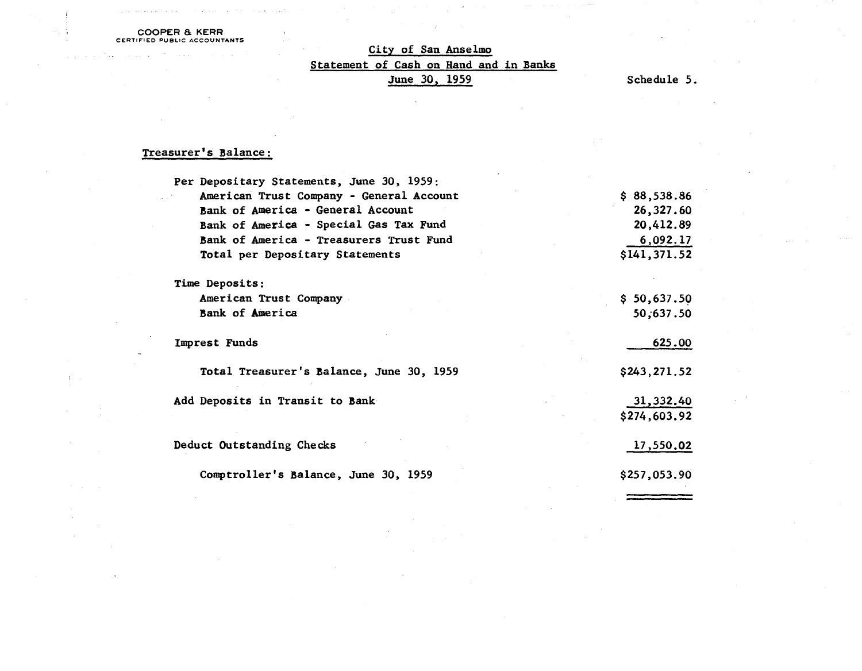COOPER a KERR **CERTrF"IED** PUBLIC **ACCOUNTANTS** 

City of San Anselmo Statement of Cash on Hand and in Banks

June 30, 1959

Schedule 5.

## Treasurer's Balance:

| Per Depositary Statements, June 30, 1959: |              |
|-------------------------------------------|--------------|
| American Trust Company - General Account  | \$88,538.86  |
| Bank of America - General Account         | 26,327.60    |
| Bank of America - Special Gas Tax Fund    | 20,412.89    |
| Bank of America - Treasurers Trust Fund   | 6,092.17     |
| Total per Depositary Statements           | \$141,371.52 |
| Time Deposits:                            |              |
| American Trust Company                    | \$50,637.50  |
| Bank of America                           | 50,637.50    |
| Imprest Funds                             | 625.00       |
| Total Treasurer's Balance, June 30, 1959  | \$243,271.52 |
| Add Deposits in Transit to Bank           | 31, 332.40   |
|                                           | \$274,603.92 |
| Deduct Outstanding Checks                 | 17,550.02    |
| Comptroller's Balance, June 30, 1959      | \$257,053.90 |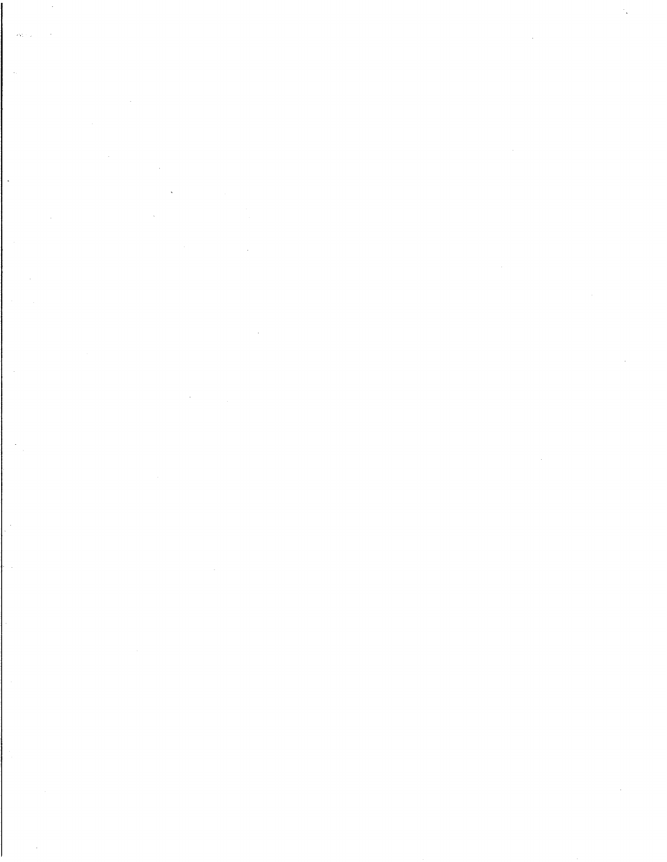$\exp(\beta/\gamma_{\rm eff})$ 

 $\label{eq:2} \frac{1}{\sqrt{2}}\left(\frac{1}{\sqrt{2}}\right)^2\frac{1}{\sqrt{2}}\left(\frac{1}{\sqrt{2}}\right)^2.$ 

 $\begin{bmatrix} 1 & 0 \\ 0 & 1 \end{bmatrix}$ 

 $\frac{1}{\sqrt{2}}$ 

Ŷ,

 $\label{eq:2.1} \frac{1}{\sqrt{2}}\int_{0}^{\infty}\frac{1}{\sqrt{2\pi}}\left(\frac{1}{\sqrt{2\pi}}\right)^{2\alpha} \frac{1}{\sqrt{2\pi}}\frac{1}{\sqrt{2\pi}}\frac{1}{\sqrt{2\pi}}\frac{1}{\sqrt{2\pi}}\frac{1}{\sqrt{2\pi}}\frac{1}{\sqrt{2\pi}}\frac{1}{\sqrt{2\pi}}\frac{1}{\sqrt{2\pi}}\frac{1}{\sqrt{2\pi}}\frac{1}{\sqrt{2\pi}}\frac{1}{\sqrt{2\pi}}\frac{1}{\sqrt{2\pi}}\frac{1}{\sqrt{2\pi}}\frac$ 

 $\label{eq:2.1} \frac{1}{\sqrt{2\pi}}\frac{1}{\sqrt{2\pi}}\sum_{i=1}^n\frac{1}{\sqrt{2\pi}}\left(\frac{1}{\sqrt{2\pi}}\right)^2\frac{1}{\sqrt{2\pi}}\left(\frac{1}{\sqrt{2\pi}}\right)^2.$  $\label{eq:1} \mathbf{S}^{(1)} = \mathbf{S}^{(1)} \mathbf{S}^{(1)} + \mathbf{S}^{(2)} \mathbf{S}^{(1)} + \mathbf{S}^{(1)} \mathbf{S}^{(2)}$  $\label{eq:2.1} \frac{1}{\sqrt{2\pi}}\int_{\mathbb{R}^3}\frac{1}{\sqrt{2\pi}}\int_{\mathbb{R}^3}\frac{1}{\sqrt{2\pi}}\int_{\mathbb{R}^3}\frac{1}{\sqrt{2\pi}}\int_{\mathbb{R}^3}\frac{1}{\sqrt{2\pi}}\int_{\mathbb{R}^3}\frac{1}{\sqrt{2\pi}}\int_{\mathbb{R}^3}\frac{1}{\sqrt{2\pi}}\int_{\mathbb{R}^3}\frac{1}{\sqrt{2\pi}}\int_{\mathbb{R}^3}\frac{1}{\sqrt{2\pi}}\int_{\mathbb{R}^3}\frac{1$ 

 $\mathcal{L}^{\text{max}}_{\text{max}}$  $\left\vert \begin{array}{c} \downarrow \\ \downarrow \end{array} \right\rangle$  $\label{eq:2.1} \frac{1}{\sqrt{2}}\int_{\mathbb{R}^3}\frac{1}{\sqrt{2}}\left(\frac{1}{\sqrt{2}}\right)^2\frac{1}{\sqrt{2}}\left(\frac{1}{\sqrt{2}}\right)^2\frac{1}{\sqrt{2}}\left(\frac{1}{\sqrt{2}}\right)^2\frac{1}{\sqrt{2}}\left(\frac{1}{\sqrt{2}}\right)^2\frac{1}{\sqrt{2}}\left(\frac{1}{\sqrt{2}}\right)^2\frac{1}{\sqrt{2}}\frac{1}{\sqrt{2}}\frac{1}{\sqrt{2}}\frac{1}{\sqrt{2}}\frac{1}{\sqrt{2}}\frac{1}{\sqrt{2}}$ 

 $\mathcal{L}^{\text{max}}_{\text{max}}$  and  $\mathcal{L}^{\text{max}}_{\text{max}}$ 

 $\mathcal{A}(\mathcal{A})$  and  $\mathcal{A}(\mathcal{A})$ 

 $\sim 10^{-1}$